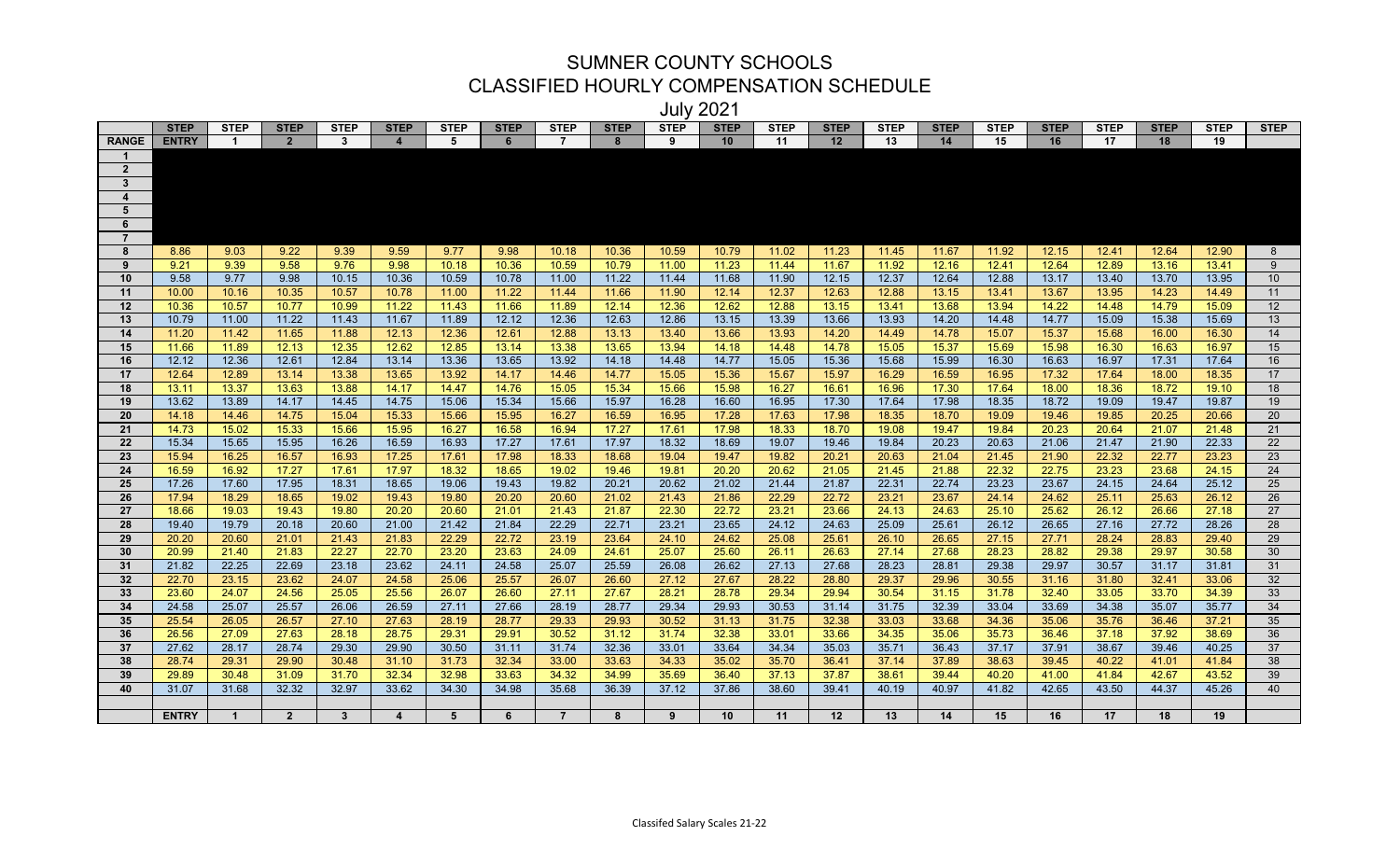## SUMNER COUNTY SCHOOLS CLASSIFIED HOURLY COMPENSATION SCHEDULE

July 2021

|                |              |                |                |                         |                         |                 |             |                |             | v u i v     | ∸∪∸ '       |             |             |             |             |             |             |             |             |             |                 |
|----------------|--------------|----------------|----------------|-------------------------|-------------------------|-----------------|-------------|----------------|-------------|-------------|-------------|-------------|-------------|-------------|-------------|-------------|-------------|-------------|-------------|-------------|-----------------|
|                | <b>STEP</b>  | <b>STEP</b>    | <b>STEP</b>    | <b>STEP</b>             | <b>STEP</b>             | <b>STEP</b>     | <b>STEP</b> | <b>STEP</b>    | <b>STEP</b> | <b>STEP</b> | <b>STEP</b> | <b>STEP</b> | <b>STEP</b> | <b>STEP</b> | <b>STEP</b> | <b>STEP</b> | <b>STEP</b> | <b>STEP</b> | <b>STEP</b> | <b>STEP</b> | <b>STEP</b>     |
| <b>RANGE</b>   | <b>ENTRY</b> | $\overline{1}$ | 2 <sup>2</sup> | $\mathbf{3}$            | $\overline{\mathbf{4}}$ | 5               | 6           | $\overline{7}$ | 8           | 9           | 10          | 11          | 12          | 13          | 14          | 15          | 16          | 17          | 18          | 19          |                 |
|                |              |                |                |                         |                         |                 |             |                |             |             |             |             |             |             |             |             |             |             |             |             |                 |
| $\overline{2}$ |              |                |                |                         |                         |                 |             |                |             |             |             |             |             |             |             |             |             |             |             |             |                 |
| $\mathbf{3}$   |              |                |                |                         |                         |                 |             |                |             |             |             |             |             |             |             |             |             |             |             |             |                 |
| 4              |              |                |                |                         |                         |                 |             |                |             |             |             |             |             |             |             |             |             |             |             |             |                 |
| 5              |              |                |                |                         |                         |                 |             |                |             |             |             |             |             |             |             |             |             |             |             |             |                 |
| 6              |              |                |                |                         |                         |                 |             |                |             |             |             |             |             |             |             |             |             |             |             |             |                 |
| $\overline{7}$ |              |                |                |                         |                         |                 |             |                |             |             |             |             |             |             |             |             |             |             |             |             |                 |
| 8              | 8.86         | 9.03           | 9.22           | 9.39                    | 9.59                    | 9.77            | 9.98        | 10.18          | 10.36       | 10.59       | 10.79       | 11.02       | 11.23       | 11.45       | 11.67       | 11.92       | 12.15       | 12.41       | 12.64       | 12.90       | 8               |
| 9              | 9.21         | 9.39           | 9.58           | 9.76                    | 9.98                    | 10.18           | 10.36       | 10.59          | 10.79       | 11.00       | 11.23       | 11.44       | 11.67       | 11.92       | 12.16       | 12.41       | 12.64       | 12.89       | 13.16       | 13.41       | 9               |
| 10             | 9.58         | 9.77           | 9.98           | 10.15                   | 10.36                   | 10.59           | 10.78       | 11.00          | 11.22       | 11.44       | 11.68       | 11.90       | 12.15       | 12.37       | 12.64       | 12.88       | 13.17       | 13.40       | 13.70       | 13.95       | 10 <sup>°</sup> |
| 11             | 10.00        | 10.16          | 10.35          | 10.57                   | 10.78                   | 11.00           | 11.22       | 11.44          | 11.66       | 11.90       | 12.14       | 12.37       | 12.63       | 12.88       | 13.15       | 13.41       | 13.67       | 13.95       | 14.23       | 14.49       | 11              |
| 12             | 10.36        | 10.57          | 10.77          | 10.99                   | 11.22                   | 11.43           | 11.66       | 11.89          | 12.14       | 12.36       | 12.62       | 12.88       | 13.15       | 13.41       | 13.68       | 13.94       | 14.22       | 14.48       | 14.79       | 15.09       | 12              |
| 13             | 10.79        | 11.00          | 11.22          | 11.43                   | 11.67                   | 11.89           | 12.12       | 12.36          | 12.63       | 12.86       | 13.15       | 13.39       | 13.66       | 13.93       | 14.20       | 14.48       | 14.77       | 15.09       | 15.38       | 15.69       | 13              |
| 14             | 11.20        | 11.42          | 11.65          | 11.88                   | 12.13                   | 12.36           | 12.61       | 12.88          | 13.13       | 13.40       | 13.66       | 13.93       | 14.20       | 14.49       | 14.78       | 15.07       | 15.37       | 15.68       | 16.00       | 16.30       | 14              |
| 15             | 11.66        | 11.89          | 12.13          | 12.35                   | 12.62                   | 12.85           | 13.14       | 13.38          | 13.65       | 13.94       | 14.18       | 14.48       | 14.78       | 15.05       | 15.37       | 15.69       | 15.98       | 16.30       | 16.63       | 16.97       | 15              |
| 16             | 12.12        | 12.36          | 12.61          | 12.84                   | 13.14                   | 13.36           | 13.65       | 13.92          | 14.18       | 14.48       | 14.77       | 15.05       | 15.36       | 15.68       | 15.99       | 16.30       | 16.63       | 16.97       | 17.31       | 17.64       | 16              |
| 17             | 12.64        | 12.89          | 13.14          | 13.38                   | 13.65                   | 13.92           | 14.17       | 14.46          | 14.77       | 15.05       | 15.36       | 15.67       | 15.97       | 16.29       | 16.59       | 16.95       | 17.32       | 17.64       | 18.00       | 18.35       | 17              |
| 18             | 13.11        | 13.37          | 13.63          | 13.88                   | 14.17                   | 14.47           | 14.76       | 15.05          | 15.34       | 15.66       | 15.98       | 16.27       | 16.61       | 16.96       | 17.30       | 17.64       | 18.00       | 18.36       | 18.72       | 19.10       | 18              |
| 19             | 13.62        | 13.89          | 14.17          | 14.45                   | 14.75                   | 15.06           | 15.34       | 15.66          | 15.97       | 16.28       | 16.60       | 16.95       | 17.30       | 17.64       | 17.98       | 18.35       | 18.72       | 19.09       | 19.47       | 19.87       | 19              |
| 20             | 14.18        | 14.46          | 14.75          | 15.04                   | 15.33                   | 15.66           | 15.95       | 16.27          | 16.59       | 16.95       | 17.28       | 17.63       | 17.98       | 18.35       | 18.70       | 19.09       | 19.46       | 19.85       | 20.25       | 20.66       | 20              |
| 21             | 14.73        | 15.02          | 15.33          | 15.66                   | 15.95                   | 16.27           | 16.58       | 16.94          | 17.27       | 17.61       | 17.98       | 18.33       | 18.70       | 19.08       | 19.47       | 19.84       | 20.23       | 20.64       | 21.07       | 21.48       | 21              |
| ${\bf 22}$     | 15.34        | 15.65          | 15.95          | 16.26                   | 16.59                   | 16.93           | 17.27       | 17.61          | 17.97       | 18.32       | 18.69       | 19.07       | 19.46       | 19.84       | 20.23       | 20.63       | 21.06       | 21.47       | 21.90       | 22.33       | 22              |
| 23             | 15.94        | 16.25          | 16.57          | 16.93                   | 17.25                   | 17.61           | 17.98       | 18.33          | 18.68       | 19.04       | 19.47       | 19.82       | 20.21       | 20.63       | 21.04       | 21.45       | 21.90       | 22.32       | 22.77       | 23.23       | 23              |
| 24             | 16.59        | 16.92          | 17.27          | 17.61                   | 17.97                   | 18.32           | 18.65       | 19.02          | 19.46       | 19.81       | 20.20       | 20.62       | 21.05       | 21.45       | 21.88       | 22.32       | 22.75       | 23.23       | 23.68       | 24.15       | 24              |
| 25             | 17.26        | 17.60          | 17.95          | 18.31                   | 18.65                   | 19.06           | 19.43       | 19.82          | 20.21       | 20.62       | 21.02       | 21.44       | 21.87       | 22.31       | 22.74       | 23.23       | 23.67       | 24.15       | 24.64       | 25.12       | 25              |
| 26             | 17.94        | 18.29          | 18.65          | 19.02                   | 19.43                   | 19.80           | 20.20       | 20.60          | 21.02       | 21.43       | 21.86       | 22.29       | 22.72       | 23.21       | 23.67       | 24.14       | 24.62       | 25.11       | 25.63       | 26.12       | 26              |
| 27             | 18.66        | 19.03          | 19.43          | 19.80                   | 20.20                   | 20.60           | 21.01       | 21.43          | 21.87       | 22.30       | 22.72       | 23.21       | 23.66       | 24.13       | 24.63       | 25.10       | 25.62       | 26.12       | 26.66       | 27.18       | 27              |
| 28             | 19.40        | 19.79          | 20.18          | 20.60                   | 21.00                   | 21.42           | 21.84       | 22.29          | 22.71       | 23.21       | 23.65       | 24.12       | 24.63       | 25.09       | 25.61       | 26.12       | 26.65       | 27.16       | 27.72       | 28.26       | 28              |
| 29             | 20.20        | 20.60          | 21.01          | 21.43                   | 21.83                   | 22.29           | 22.72       | 23.19          | 23.64       | 24.10       | 24.62       | 25.08       | 25.61       | 26.10       | 26.65       | 27.15       | 27.71       | 28.24       | 28.83       | 29.40       | 29              |
| 30             | 20.99        | 21.40          | 21.83          | 22.27                   | 22.70                   | 23.20           | 23.63       | 24.09          | 24.61       | 25.07       | 25.60       | 26.11       | 26.63       | 27.14       | 27.68       | 28.23       | 28.82       | 29.38       | 29.97       | 30.58       | 30              |
| 31             | 21.82        | 22.25          | 22.69          | 23.18                   | 23.62                   | 24.11           | 24.58       | 25.07          | 25.59       | 26.08       | 26.62       | 27.13       | 27.68       | 28.23       | 28.81       | 29.38       | 29.97       | 30.57       | 31.17       | 31.81       | 31              |
| 32             | 22.70        | 23.15          | 23.62          | 24.07                   | 24.58                   | 25.06           | 25.57       | 26.07          | 26.60       | 27.12       | 27.67       | 28.22       | 28.80       | 29.37       | 29.96       | 30.55       | 31.16       | 31.80       | 32.41       | 33.06       | 32              |
| 33             | 23.60        | 24.07          | 24.56          | 25.05                   | 25.56                   | 26.07           | 26.60       | 27.11          | 27.67       | 28.21       | 28.78       | 29.34       | 29.94       | 30.54       | 31.15       | 31.78       | 32.40       | 33.05       | 33.70       | 34.39       | 33              |
| 34             | 24.58        | 25.07          | 25.57          | 26.06                   | 26.59                   | 27.11           | 27.66       | 28.19          | 28.77       | 29.34       | 29.93       | 30.53       | 31.14       | 31.75       | 32.39       | 33.04       | 33.69       | 34.38       | 35.07       | 35.77       | 34              |
| 35             | 25.54        | 26.05          | 26.57          | 27.10                   | 27.63                   | 28.19           | 28.77       | 29.33          | 29.93       | 30.52       | 31.13       | 31.75       | 32.38       | 33.03       | 33.68       | 34.36       | 35.06       | 35.76       | 36.46       | 37.21       | 35              |
| 36             | 26.56        | 27.09          | 27.63          | 28.18                   | 28.75                   | 29.31           | 29.91       | 30.52          | 31.12       | 31.74       | 32.38       | 33.01       | 33.66       | 34.35       | 35.06       | 35.73       | 36.46       | 37.18       | 37.92       | 38.69       | 36              |
| 37             | 27.62        | 28.17          | 28.74          | 29.30                   | 29.90                   | 30.50           | 31.11       | 31.74          | 32.36       | 33.01       | 33.64       | 34.34       | 35.03       | 35.71       | 36.43       | 37.17       | 37.91       | 38.67       | 39.46       | 40.25       | 37              |
| 38             | 28.74        | 29.31          | 29.90          | 30.48                   | 31.10                   | 31.73           | 32.34       | 33.00          | 33.63       | 34.33       | 35.02       | 35.70       | 36.41       | 37.14       | 37.89       | 38.63       | 39.45       | 40.22       | 41.01       | 41.84       | 38              |
| 39             | 29.89        | 30.48          | 31.09          | 31.70                   | 32.34                   | 32.98           | 33.63       | 34.32          | 34.99       | 35.69       | 36.40       | 37.13       | 37.87       | 38.61       | 39.44       | 40.20       | 41.00       | 41.84       | 42.67       | 43.52       | 39              |
| 40             | 31.07        | 31.68          | 32.32          | 32.97                   | 33.62                   | 34.30           | 34.98       | 35.68          | 36.39       | 37.12       | 37.86       | 38.60       | 39.41       | 40.19       | 40.97       | 41.82       | 42.65       | 43.50       | 44.37       | 45.26       | 40              |
|                |              |                |                |                         |                         |                 |             |                |             |             |             |             |             |             |             |             |             |             |             |             |                 |
|                | <b>ENTRY</b> | $\overline{1}$ | $2^{\circ}$    | $\overline{\mathbf{3}}$ | $\overline{4}$          | $5\phantom{.0}$ | 6           | $\overline{7}$ | 8           | 9           | 10          | 11          | 12          | 13          | 14          | 15          | 16          | 17          | 18          | 19          |                 |